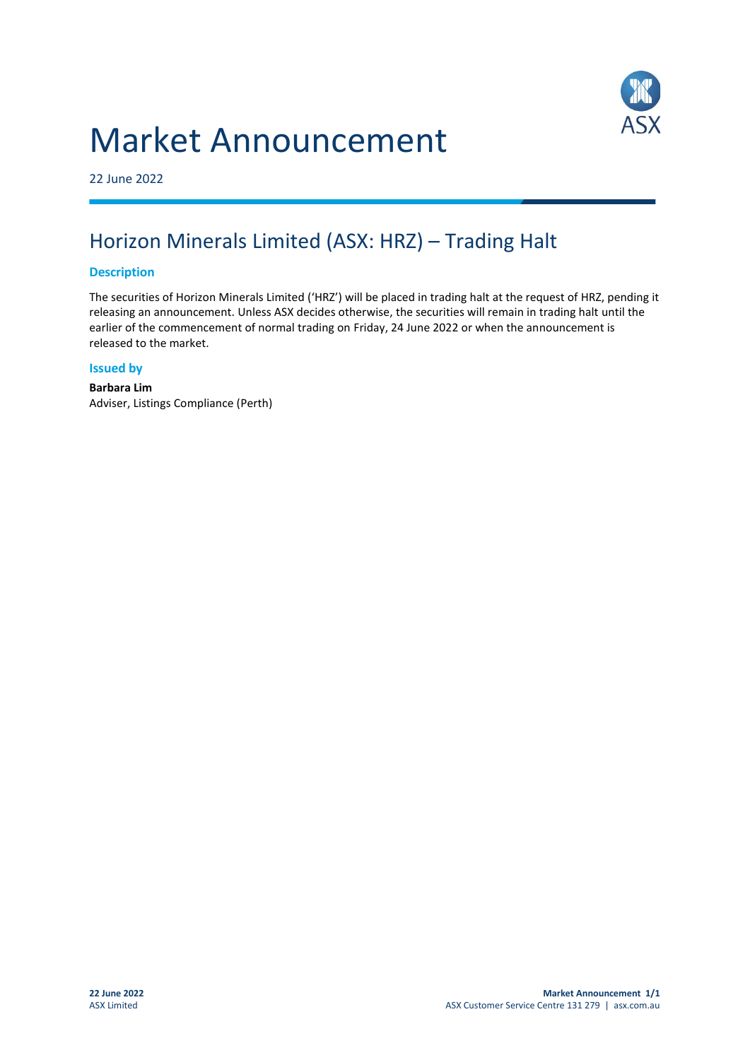# Market Announcement



22 June 2022

## Horizon Minerals Limited (ASX: HRZ) – Trading Halt

#### **Description**

The securities of Horizon Minerals Limited ('HRZ') will be placed in trading halt at the request of HRZ, pending it releasing an announcement. Unless ASX decides otherwise, the securities will remain in trading halt until the earlier of the commencement of normal trading on Friday, 24 June 2022 or when the announcement is released to the market.

#### **Issued by**

**Barbara Lim** Adviser, Listings Compliance (Perth)